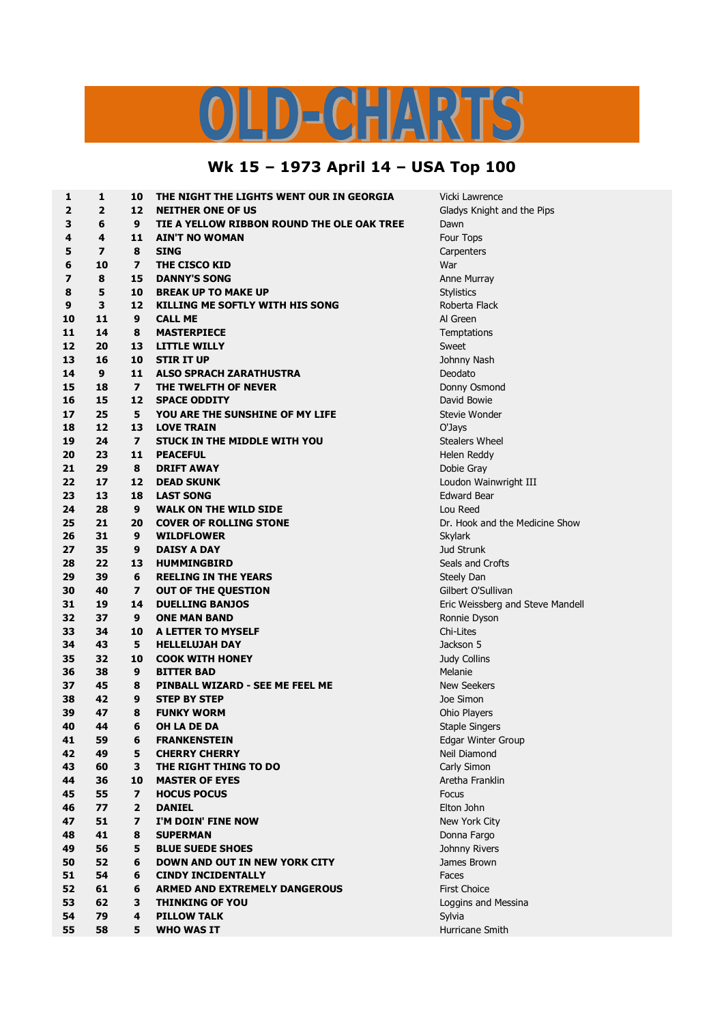## LD-CHARTS

## **Wk 15 – 1973 April 14 – USA Top 100**

| 1  | 1                       | 10                      | THE NIGHT THE LIGHTS WENT OUR IN GEORGIA   | Vicki Lawrence                   |
|----|-------------------------|-------------------------|--------------------------------------------|----------------------------------|
| 2  | $\overline{2}$          | 12                      | <b>NEITHER ONE OF US</b>                   | Gladys Knight and the Pips       |
| 3  | 6                       | 9                       | TIE A YELLOW RIBBON ROUND THE OLE OAK TREE | Dawn                             |
| 4  | 4                       | 11                      | <b>AIN'T NO WOMAN</b>                      | Four Tops                        |
| 5  | $\overline{\mathbf{z}}$ | 8                       | <b>SING</b>                                | Carpenters                       |
| 6  | 10                      | $\overline{\mathbf{z}}$ | THE CISCO KID                              | War                              |
| 7  | 8                       | 15                      | <b>DANNY'S SONG</b>                        | Anne Murray                      |
| 8  | 5                       | 10                      | <b>BREAK UP TO MAKE UP</b>                 | <b>Stylistics</b>                |
| 9  | 3                       | 12                      | <b>KILLING ME SOFTLY WITH HIS SONG</b>     | Roberta Flack                    |
| 10 | 11                      | 9                       | <b>CALL ME</b>                             | Al Green                         |
| 11 | 14                      | 8                       | <b>MASTERPIECE</b>                         | Temptations                      |
| 12 | 20                      | 13                      | <b>LITTLE WILLY</b>                        | Sweet                            |
| 13 | 16                      | 10                      | <b>STIR IT UP</b>                          | Johnny Nash                      |
| 14 | $\boldsymbol{9}$        | 11                      | <b>ALSO SPRACH ZARATHUSTRA</b>             | Deodato                          |
| 15 | 18                      | $\overline{ }$          | THE TWELFTH OF NEVER                       | Donny Osmond                     |
| 16 | 15                      | 12                      | <b>SPACE ODDITY</b>                        | David Bowie                      |
| 17 | 25                      | 5                       | YOU ARE THE SUNSHINE OF MY LIFE            | Stevie Wonder                    |
| 18 | 12                      | 13                      | <b>LOVE TRAIN</b>                          | O'Jays                           |
| 19 | 24                      | $\overline{ }$          | STUCK IN THE MIDDLE WITH YOU               | <b>Stealers Wheel</b>            |
| 20 | 23                      | 11                      | <b>PEACEFUL</b>                            | Helen Reddy                      |
| 21 | 29                      | 8                       | <b>DRIFT AWAY</b>                          | Dobie Gray                       |
| 22 | 17                      | 12                      | <b>DEAD SKUNK</b>                          | Loudon Wainwright III            |
| 23 | 13                      | 18                      | <b>LAST SONG</b>                           | <b>Edward Bear</b>               |
| 24 | 28                      | 9                       | <b>WALK ON THE WILD SIDE</b>               | Lou Reed                         |
| 25 | 21                      | 20                      | <b>COVER OF ROLLING STONE</b>              | Dr. Hook and the Medicine Show   |
| 26 | 31                      | 9                       | <b>WILDFLOWER</b>                          | Skylark                          |
| 27 | 35                      | 9                       | <b>DAISY A DAY</b>                         | Jud Strunk                       |
| 28 | 22                      | 13                      | <b>HUMMINGBIRD</b>                         | Seals and Crofts                 |
| 29 | 39                      | 6                       | <b>REELING IN THE YEARS</b>                | Steely Dan                       |
| 30 | 40                      | $\overline{\mathbf{z}}$ | <b>OUT OF THE QUESTION</b>                 | Gilbert O'Sullivan               |
| 31 | 19                      | 14                      | <b>DUELLING BANJOS</b>                     | Eric Weissberg and Steve Mandell |
| 32 | 37                      | 9                       | <b>ONE MAN BAND</b>                        | Ronnie Dyson                     |
| 33 | 34                      | 10                      | A LETTER TO MYSELF                         | Chi-Lites                        |
| 34 | 43                      | 5                       | <b>HELLELUJAH DAY</b>                      | Jackson 5                        |
| 35 | 32                      | 10                      | <b>COOK WITH HONEY</b>                     | Judy Collins                     |
| 36 | 38                      | 9                       | <b>BITTER BAD</b>                          | Melanie                          |
| 37 | 45                      | 8                       | PINBALL WIZARD - SEE ME FEEL ME            | <b>New Seekers</b>               |
| 38 | 42                      | 9                       | <b>STEP BY STEP</b>                        | Joe Simon                        |
| 39 | 47                      | 8                       | <b>FUNKY WORM</b>                          | Ohio Players                     |
| 40 | 44                      | 6                       | <b>OH LA DE DA</b>                         | <b>Staple Singers</b>            |
| 41 | 59                      | 6                       | <b>FRANKENSTEIN</b>                        | Edgar Winter Group               |
| 42 | 49                      | 5                       | <b>CHERRY CHERRY</b>                       | Neil Diamond                     |
| 43 | 60                      | 3                       | THE RIGHT THING TO DO                      | Carly Simon                      |
| 44 | 36                      | 10                      | <b>MASTER OF EYES</b>                      | Aretha Franklin                  |
| 45 | 55                      | $\overline{ }$          | <b>HOCUS POCUS</b>                         | Focus                            |
| 46 | 77                      | $\mathbf{2}$            | <b>DANIEL</b>                              | Elton John                       |
| 47 | 51                      | $\overline{\mathbf{z}}$ | I'M DOIN' FINE NOW                         | New York City                    |
| 48 | 41                      | 8                       | <b>SUPERMAN</b>                            | Donna Fargo                      |
| 49 | 56                      | 5                       | <b>BLUE SUEDE SHOES</b>                    | Johnny Rivers                    |
| 50 | 52                      | 6                       | <b>DOWN AND OUT IN NEW YORK CITY</b>       | James Brown                      |
| 51 | 54                      | 6                       | <b>CINDY INCIDENTALLY</b>                  | Faces                            |
| 52 | 61                      | 6                       | <b>ARMED AND EXTREMELY DANGEROUS</b>       | <b>First Choice</b>              |
| 53 | 62                      | 3                       | <b>THINKING OF YOU</b>                     |                                  |
| 54 | 79                      | 4                       | <b>PILLOW TALK</b>                         | Loggins and Messina              |
|    |                         |                         |                                            | Sylvia                           |
| 55 | 58                      | 5                       | <b>WHO WAS IT</b>                          | Hurricane Smith                  |